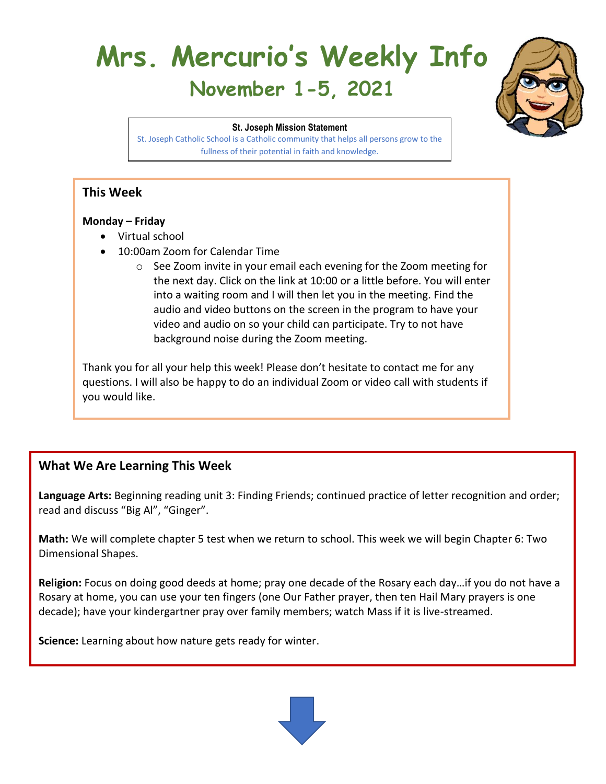# **Mrs. Mercurio's Weekly Info November 1-5, 2021**



**St. Joseph Mission Statement** St. Joseph Catholic School is a Catholic community that helps all persons grow to the fullness of their potential in faith and knowledge.

# **This Week**

#### **Monday – Friday**

- Virtual school
- 10:00am Zoom for Calendar Time
	- o See Zoom invite in your email each evening for the Zoom meeting for the next day. Click on the link at 10:00 or a little before. You will enter into a waiting room and I will then let you in the meeting. Find the audio and video buttons on the screen in the program to have your video and audio on so your child can participate. Try to not have background noise during the Zoom meeting.

Thank you for all your help this week! Please don't hesitate to contact me for any questions. I will also be happy to do an individual Zoom or video call with students if you would like.

# **What We Are Learning This Week**

**Language Arts:** Beginning reading unit 3: Finding Friends; continued practice of letter recognition and order; read and discuss "Big Al", "Ginger".

**Math:** We will complete chapter 5 test when we return to school. This week we will begin Chapter 6: Two Dimensional Shapes.

**Religion:** Focus on doing good deeds at home; pray one decade of the Rosary each day…if you do not have a Rosary at home, you can use your ten fingers (one Our Father prayer, then ten Hail Mary prayers is one decade); have your kindergartner pray over family members; watch Mass if it is live-streamed.

**Science:** Learning about how nature gets ready for winter.